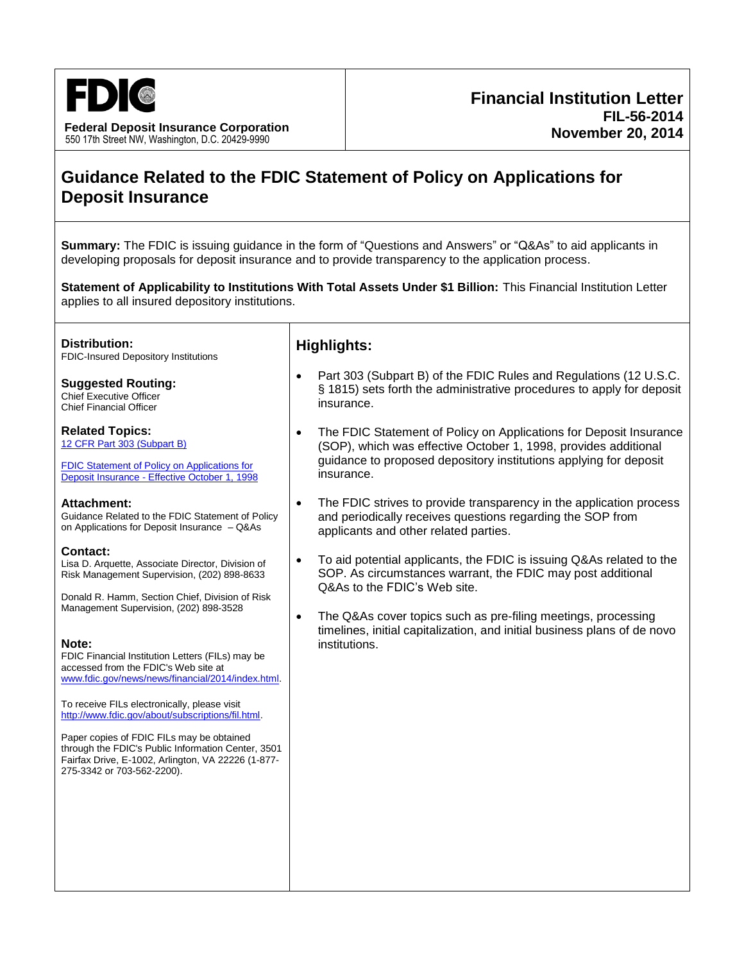

**Federal Deposit Insurance Corporation** 550 17th Street NW, Washington, D.C. 20429-9990

# **Guidance Related to the FDIC Statement of Policy on Applications for Deposit Insurance**

**Summary:** The FDIC is issuing guidance in the form of "Questions and Answers" or "Q&As" to aid applicants in developing proposals for deposit insurance and to provide transparency to the application process.

**Statement of Applicability to Institutions With Total Assets Under \$1 Billion:** This Financial Institution Letter applies to all insured depository institutions.

**Distribution:** FDIC-Insured Depository Institutions

**Suggested Routing:** Chief Executive Officer Chief Financial Officer

**Related Topics:** [12 CFR Part 303 \(Subpart B\)](https://www.fdic.gov/regulations/laws/rules/2000-400.html#fdic2000part303.20)

[FDIC Statement of Policy on Applications for](https://www.fdic.gov/regulations/laws/rules/5000-3000.html)  Deposit Insurance - Effective October 1, 1998

#### **Attachment:**

[Guidance Related to the FDIC Statement of](http://www.fdic.gov/news/news/financial/2014/fil14056a.pdf) Policy on Applications for Deposit Insurance – Q&As

#### **Contact:**

Lisa D. Arquette, Associate Director, Division of Risk Management Supervision, (202) 898-8633

Donald R. Hamm, Section Chief, Division of Risk Management Supervision, (202) 898-3528

#### **Note:**

FDIC Financial Institution Letters (FILs) may be accessed from the FDIC's Web site at [www.fdic.gov/news/news/financial/2014/index.html.](http://www.fdic.gov/news/news/financial/2014/index.html)

To receive FILs electronically, please visit [http://www.fdic.gov/about/subscriptions/fil.html.](http://www.fdic.gov/about/subscriptions/index.html)

Paper copies of FDIC FILs may be obtained through the FDIC's Public Information Center, 3501 Fairfax Drive, E-1002, Arlington, VA 22226 (1-877- 275-3342 or 703-562-2200).

### **Highlights:**

- Part 303 (Subpart B) of the FDIC Rules and Regulations (12 U.S.C. § 1815) sets forth the administrative procedures to apply for deposit insurance.
- The FDIC Statement of Policy on Applications for Deposit Insurance (SOP), which was effective October 1, 1998, provides additional guidance to proposed depository institutions applying for deposit insurance.
- The FDIC strives to provide transparency in the application process and periodically receives questions regarding the SOP from applicants and other related parties.
- To aid potential applicants, the FDIC is issuing Q&As related to the SOP. As circumstances warrant, the FDIC may post additional Q&As to the FDIC's Web site.
- The Q&As cover topics such as pre-filing meetings, processing timelines, initial capitalization, and initial business plans of de novo institutions.